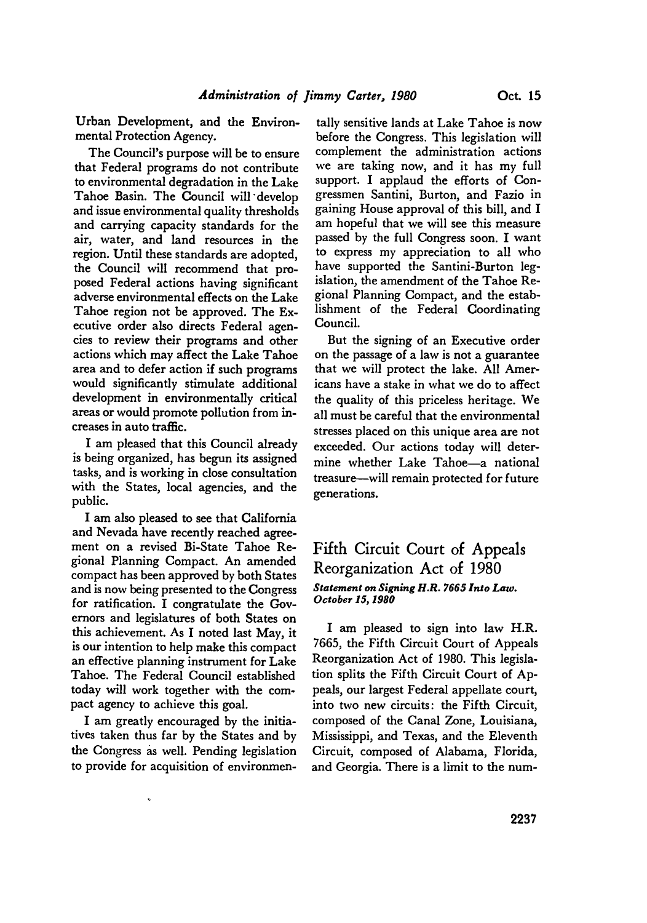Urban Development, and the Environmental Protection Agency.

The Council's purpose will be to ensure that Federal programs do not contribute to environmental degradation in the Lake Tahoe Basin. The Council will develop and issue environmental quality thresholds and carrying capacity standards for the air, water, and land resources in the region. Until these standards are adopted, the Council will recommend that proposed Federal actions having significant adverse environmental effects on the Lake Tahoe region not be approved. The Executive order also directs Federal agencies to review their programs and other actions which may affect the Lake Tahoe area and to defer action if such programs would significantly stimulate additional development in environmentally critical areas or would promote pollution from increases in auto traffic.

**I** am pleased that this Council already is being organized, has begun its assigned tasks, and is working in close consultation with the States, local agencies, and the public.

I am also pleased to see that California and Nevada have recently reached agreement on a revised Bi-State Tahoe Regional Planning Compact. An amended compact has been approved **by** both States and is now being presented to the Congress for ratification. I congratulate the Governors and legislatures of both States on this achievement. As I noted last May, it is our intention to help make this compact an effective planning instrument for Lake Tahoe. The Federal Council established today will work together with the compact agency to achieve this goal.

I am greatly encouraged **by** the initiatives taken thus far **by** the States and **by** the Congress as well. Pending legislation to provide for acquisition of environmentally sensitive lands at Lake Tahoe is now before the Congress. This legislation will complement the administration actions we are taking now, and it has my full support. I applaud the efforts of Congressmen Santini, Burton, and Fazio in gaining House approval of this bill, and I am hopeful that we will see this measure passed **by** the full Congress soon. I want to express my appreciation to all who have supported the Santini-Burton legislation, the amendment of the Tahoe Regional Planning Compact, and the establishment of the Federal Coordinating Council.

But the signing of an Executive order on the passage of a law is not a guarantee that we will protect the lake. **All** Americans have a stake in what we do to affect the quality of this priceless heritage. We all must be careful that the environmental stresses placed on this unique area are not exceeded. Our actions today will determine whether Lake Tahoe-a national treasure-will remain protected for future generations.

## Fifth Circuit Court of Appeals Reorganization Act of **1980** *Statement on Signing H.R. 7665 Into Law. October 15, 1980*

I am pleased to sign into law H.R. **7665,** the Fifth Circuit Court of Appeals Reorganization Act of **1980.** This legislation splits the Fifth Circuit Court of **Ap**peals, our largest Federal appellate court, into two new circuits: the Fifth Circuit, composed of the Canal Zone, Louisiana, Mississippi, and Texas, and the Eleventh Circuit, composed of Alabama, Florida, and Georgia. There is a limit to the num